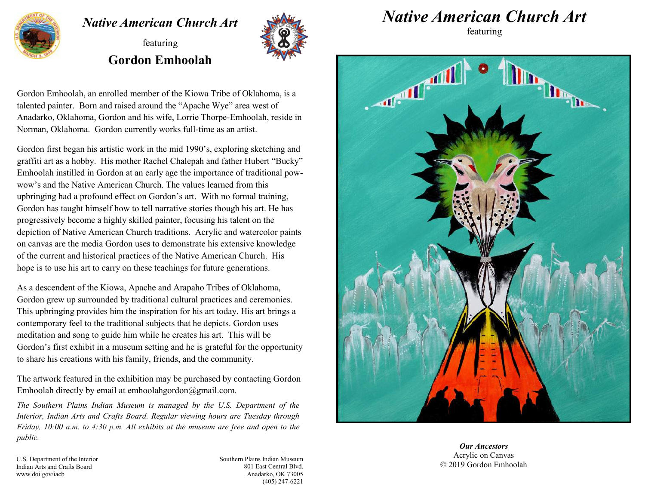

## *Native American Church Art*

featuring **Gordon Emhoolah** 



Gordon Emhoolah, an enrolled member of the Kiowa Tribe of Oklahoma, is a talented painter. Born and raised around the "Apache Wye" area west of Anadarko, Oklahoma, Gordon and his wife, Lorrie Thorpe-Emhoolah, reside in Norman, Oklahoma. Gordon currently works full-time as an artist.

Gordon first began his artistic work in the mid 1990's, exploring sketching and graffiti art as a hobby. His mother Rachel Chalepah and father Hubert "Bucky" Emhoolah instilled in Gordon at an early age the importance of traditional powwow's and the Native American Church. The values learned from this upbringing had a profound effect on Gordon's art. With no formal training, Gordon has taught himself how to tell narrative stories though his art. He has progressively become a highly skilled painter, focusing his talent on the depiction of Native American Church traditions. Acrylic and watercolor paints on canvas are the media Gordon uses to demonstrate his extensive knowledge of the current and historical practices of the Native American Church. His hope is to use his art to carry on these teachings for future generations.

As a descendent of the Kiowa, Apache and Arapaho Tribes of Oklahoma, Gordon grew up surrounded by traditional cultural practices and ceremonies. This upbringing provides him the inspiration for his art today. His art brings a contemporary feel to the traditional subjects that he depicts. Gordon uses meditation and song to guide him while he creates his art. This will be Gordon's first exhibit in a museum setting and he is grateful for the opportunity to share his creations with his family, friends, and the community.

The artwork featured in the exhibition may be purchased by contacting Gordon Emhoolah directly by email at emhoolahgordon@gmail.com.

*The Southern Plains Indian Museum is managed by the U.S. Department of the Interior, Indian Arts and Crafts Board. Regular viewing hours are Tuesday through Friday, 10:00 a.m. to 4:30 p.m. All exhibits at the museum are free and open to the public.*

*Native American Church Art* 

featuring



*Our Ancestors* Acrylic on Canvas © 2019 Gordon Emhoolah

U.S. Department of the Interior Indian Arts and Crafts Board www.doi.gov/iacb

Southern Plains Indian Museum 801 East Central Blvd. Anadarko, OK 73005 (405) 247-6221